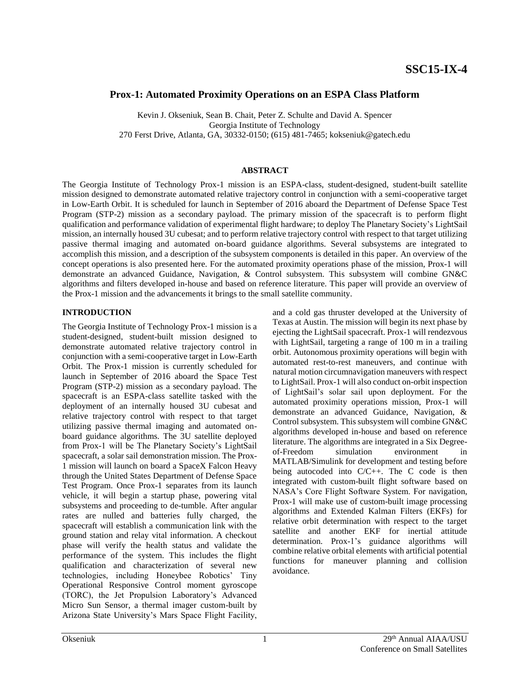#### **Prox-1: Automated Proximity Operations on an ESPA Class Platform**

Kevin J. Okseniuk, Sean B. Chait, Peter Z. Schulte and David A. Spencer Georgia Institute of Technology 270 Ferst Drive, Atlanta, GA, 30332-0150; (615) 481-7465; kokseniuk@gatech.edu

#### **ABSTRACT**

The Georgia Institute of Technology Prox-1 mission is an ESPA-class, student-designed, student-built satellite mission designed to demonstrate automated relative trajectory control in conjunction with a semi-cooperative target in Low-Earth Orbit. It is scheduled for launch in September of 2016 aboard the Department of Defense Space Test Program (STP-2) mission as a secondary payload. The primary mission of the spacecraft is to perform flight qualification and performance validation of experimental flight hardware; to deploy The Planetary Society's LightSail mission, an internally housed 3U cubesat; and to perform relative trajectory control with respect to that target utilizing passive thermal imaging and automated on-board guidance algorithms. Several subsystems are integrated to accomplish this mission, and a description of the subsystem components is detailed in this paper. An overview of the concept operations is also presented here. For the automated proximity operations phase of the mission, Prox-1 will demonstrate an advanced Guidance, Navigation, & Control subsystem. This subsystem will combine GN&C algorithms and filters developed in-house and based on reference literature. This paper will provide an overview of the Prox-1 mission and the advancements it brings to the small satellite community.

#### **INTRODUCTION**

The Georgia Institute of Technology Prox-1 mission is a student-designed, student-built mission designed to demonstrate automated relative trajectory control in conjunction with a semi-cooperative target in Low-Earth Orbit. The Prox-1 mission is currently scheduled for launch in September of 2016 aboard the Space Test Program (STP-2) mission as a secondary payload. The spacecraft is an ESPA-class satellite tasked with the deployment of an internally housed 3U cubesat and relative trajectory control with respect to that target utilizing passive thermal imaging and automated onboard guidance algorithms. The 3U satellite deployed from Prox-1 will be The Planetary Society's LightSail spacecraft, a solar sail demonstration mission. The Prox-1 mission will launch on board a SpaceX Falcon Heavy through the United States Department of Defense Space Test Program. Once Prox-1 separates from its launch vehicle, it will begin a startup phase, powering vital subsystems and proceeding to de-tumble. After angular rates are nulled and batteries fully charged, the spacecraft will establish a communication link with the ground station and relay vital information. A checkout phase will verify the health status and validate the performance of the system. This includes the flight qualification and characterization of several new technologies, including Honeybee Robotics' Tiny Operational Responsive Control moment gyroscope (TORC), the Jet Propulsion Laboratory's Advanced Micro Sun Sensor, a thermal imager custom-built by Arizona State University's Mars Space Flight Facility,

and a cold gas thruster developed at the University of Texas at Austin. The mission will begin its next phase by ejecting the LightSail spacecraft. Prox-1 will rendezvous with LightSail, targeting a range of 100 m in a trailing orbit. Autonomous proximity operations will begin with automated rest-to-rest maneuvers, and continue with natural motion circumnavigation maneuvers with respect to LightSail. Prox-1 will also conduct on-orbit inspection of LightSail's solar sail upon deployment. For the automated proximity operations mission, Prox-1 will demonstrate an advanced Guidance, Navigation, & Control subsystem. This subsystem will combine GN&C algorithms developed in-house and based on reference literature. The algorithms are integrated in a Six Degreeof-Freedom simulation environment in MATLAB/Simulink for development and testing before being autocoded into C/C++. The C code is then integrated with custom-built flight software based on NASA's Core Flight Software System. For navigation, Prox-1 will make use of custom-built image processing algorithms and Extended Kalman Filters (EKFs) for relative orbit determination with respect to the target satellite and another EKF for inertial attitude determination. Prox-1's guidance algorithms will combine relative orbital elements with artificial potential functions for maneuver planning and collision avoidance.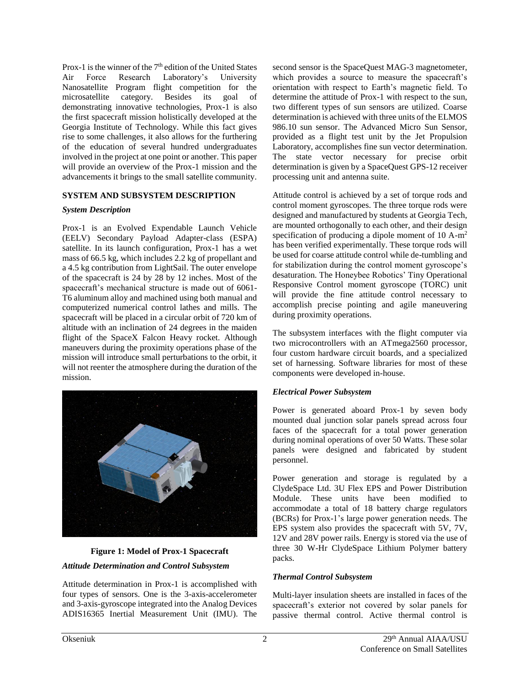Prox-1 is the winner of the  $7<sup>th</sup>$  edition of the United States Air Force Research Laboratory's University Nanosatellite Program flight competition for the microsatellite category. Besides its goal of demonstrating innovative technologies, Prox-1 is also the first spacecraft mission holistically developed at the Georgia Institute of Technology. While this fact gives rise to some challenges, it also allows for the furthering of the education of several hundred undergraduates involved in the project at one point or another. This paper will provide an overview of the Prox-1 mission and the advancements it brings to the small satellite community.

#### **SYSTEM AND SUBSYSTEM DESCRIPTION**

#### *System Description*

Prox-1 is an Evolved Expendable Launch Vehicle (EELV) Secondary Payload Adapter-class (ESPA) satellite. In its launch configuration, Prox-1 has a wet mass of 66.5 kg, which includes 2.2 kg of propellant and a 4.5 kg contribution from LightSail. The outer envelope of the spacecraft is 24 by 28 by 12 inches. Most of the spacecraft's mechanical structure is made out of 6061- T6 aluminum alloy and machined using both manual and computerized numerical control lathes and mills. The spacecraft will be placed in a circular orbit of 720 km of altitude with an inclination of 24 degrees in the maiden flight of the SpaceX Falcon Heavy rocket. Although maneuvers during the proximity operations phase of the mission will introduce small perturbations to the orbit, it will not reenter the atmosphere during the duration of the mission.



# **Figure 1: Model of Prox-1 Spacecraft**

### *Attitude Determination and Control Subsystem*

Attitude determination in Prox-1 is accomplished with four types of sensors. One is the 3-axis-accelerometer and 3-axis-gyroscope integrated into the Analog Devices ADIS16365 Inertial Measurement Unit (IMU). The

second sensor is the SpaceQuest MAG-3 magnetometer, which provides a source to measure the spacecraft's orientation with respect to Earth's magnetic field. To determine the attitude of Prox-1 with respect to the sun, two different types of sun sensors are utilized. Coarse determination is achieved with three units of the ELMOS 986.10 sun sensor. The Advanced Micro Sun Sensor, provided as a flight test unit by the Jet Propulsion Laboratory, accomplishes fine sun vector determination. The state vector necessary for precise orbit determination is given by a SpaceQuest GPS-12 receiver processing unit and antenna suite.

Attitude control is achieved by a set of torque rods and control moment gyroscopes. The three torque rods were designed and manufactured by students at Georgia Tech, are mounted orthogonally to each other, and their design specification of producing a dipole moment of 10 A- $m<sup>2</sup>$ has been verified experimentally. These torque rods will be used for coarse attitude control while de-tumbling and for stabilization during the control moment gyroscope's desaturation. The Honeybee Robotics' Tiny Operational Responsive Control moment gyroscope (TORC) unit will provide the fine attitude control necessary to accomplish precise pointing and agile maneuvering during proximity operations.

The subsystem interfaces with the flight computer via two microcontrollers with an ATmega2560 processor, four custom hardware circuit boards, and a specialized set of harnessing. Software libraries for most of these components were developed in-house.

# *Electrical Power Subsystem*

Power is generated aboard Prox-1 by seven body mounted dual junction solar panels spread across four faces of the spacecraft for a total power generation during nominal operations of over 50 Watts. These solar panels were designed and fabricated by student personnel.

Power generation and storage is regulated by a ClydeSpace Ltd. 3U Flex EPS and Power Distribution Module. These units have been modified to accommodate a total of 18 battery charge regulators (BCRs) for Prox-1's large power generation needs. The EPS system also provides the spacecraft with 5V, 7V, 12V and 28V power rails. Energy is stored via the use of three 30 W-Hr ClydeSpace Lithium Polymer battery packs.

# *Thermal Control Subsystem*

Multi-layer insulation sheets are installed in faces of the spacecraft's exterior not covered by solar panels for passive thermal control. Active thermal control is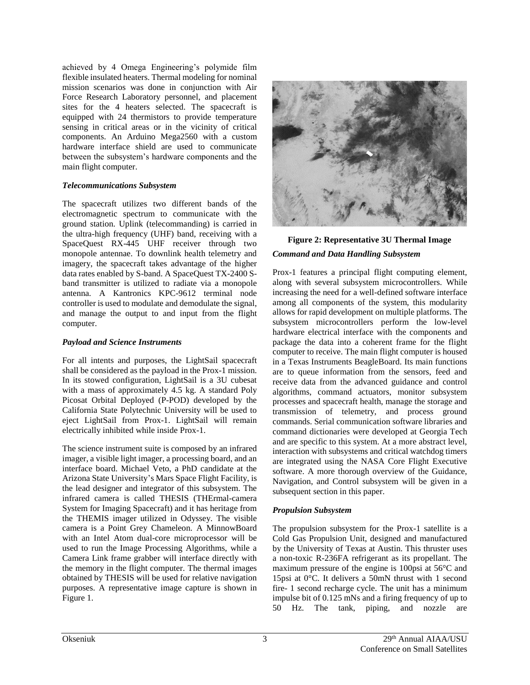achieved by 4 Omega Engineering's polymide film flexible insulated heaters. Thermal modeling for nominal mission scenarios was done in conjunction with Air Force Research Laboratory personnel, and placement sites for the 4 heaters selected. The spacecraft is equipped with 24 thermistors to provide temperature sensing in critical areas or in the vicinity of critical components. An Arduino Mega2560 with a custom hardware interface shield are used to communicate between the subsystem's hardware components and the main flight computer.

#### *Telecommunications Subsystem*

The spacecraft utilizes two different bands of the electromagnetic spectrum to communicate with the ground station. Uplink (telecommanding) is carried in the ultra-high frequency (UHF) band, receiving with a SpaceQuest RX-445 UHF receiver through two monopole antennae. To downlink health telemetry and imagery, the spacecraft takes advantage of the higher data rates enabled by S-band. A SpaceQuest TX-2400 Sband transmitter is utilized to radiate via a monopole antenna. A Kantronics KPC-9612 terminal node controller is used to modulate and demodulate the signal, and manage the output to and input from the flight computer.

#### *Payload and Science Instruments*

For all intents and purposes, the LightSail spacecraft shall be considered as the payload in the Prox-1 mission. In its stowed configuration, LightSail is a 3U cubesat with a mass of approximately 4.5 kg. A standard Poly Picosat Orbital Deployed (P-POD) developed by the California State Polytechnic University will be used to eject LightSail from Prox-1. LightSail will remain electrically inhibited while inside Prox-1.

The science instrument suite is composed by an infrared imager, a visible light imager, a processing board, and an interface board. Michael Veto, a PhD candidate at the Arizona State University's Mars Space Flight Facility, is the lead designer and integrator of this subsystem. The infrared camera is called THESIS (THErmal-camera System for Imaging Spacecraft) and it has heritage from the THEMIS imager utilized in Odyssey. The visible camera is a Point Grey Chameleon. A MinnowBoard with an Intel Atom dual-core microprocessor will be used to run the Image Processing Algorithms, while a Camera Link frame grabber will interface directly with the memory in the flight computer. The thermal images obtained by THESIS will be used for relative navigation purposes. A representative image capture is shown in Figure 1.



# *Command and Data Handling Subsystem* **Figure 2: Representative 3U Thermal Image**

Prox-1 features a principal flight computing element, along with several subsystem microcontrollers. While increasing the need for a well-defined software interface among all components of the system, this modularity allows for rapid development on multiple platforms. The subsystem microcontrollers perform the low-level hardware electrical interface with the components and package the data into a coherent frame for the flight computer to receive. The main flight computer is housed in a Texas Instruments BeagleBoard. Its main functions are to queue information from the sensors, feed and receive data from the advanced guidance and control algorithms, command actuators, monitor subsystem processes and spacecraft health, manage the storage and transmission of telemetry, and process ground commands. Serial communication software libraries and command dictionaries were developed at Georgia Tech and are specific to this system. At a more abstract level, interaction with subsystems and critical watchdog timers are integrated using the NASA Core Flight Executive software. A more thorough overview of the Guidance, Navigation, and Control subsystem will be given in a subsequent section in this paper.

#### *Propulsion Subsystem*

The propulsion subsystem for the Prox-1 satellite is a Cold Gas Propulsion Unit, designed and manufactured by the University of Texas at Austin. This thruster uses a non-toxic R-236FA refrigerant as its propellant. The maximum pressure of the engine is 100psi at 56°C and 15psi at 0°C. It delivers a 50mN thrust with 1 second fire- 1 second recharge cycle. The unit has a minimum impulse bit of 0.125 mNs and a firing frequency of up to 50 Hz. The tank, piping, and nozzle are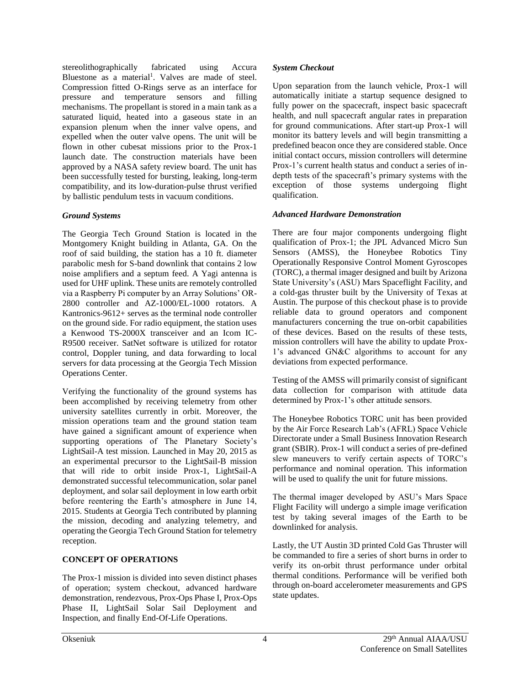stereolithographically fabricated using Accura Bluestone as a material<sup>1</sup>. Valves are made of steel. Compression fitted O-Rings serve as an interface for pressure and temperature sensors and filling mechanisms. The propellant is stored in a main tank as a saturated liquid, heated into a gaseous state in an expansion plenum when the inner valve opens, and expelled when the outer valve opens. The unit will be flown in other cubesat missions prior to the Prox-1 launch date. The construction materials have been approved by a NASA safety review board. The unit has been successfully tested for bursting, leaking, long-term compatibility, and its low-duration-pulse thrust verified by ballistic pendulum tests in vacuum conditions.

#### *Ground Systems*

The Georgia Tech Ground Station is located in the Montgomery Knight building in Atlanta, GA. On the roof of said building, the station has a 10 ft. diameter parabolic mesh for S-band downlink that contains 2 low noise amplifiers and a septum feed. A Yagi antenna is used for UHF uplink. These units are remotely controlled via a Raspberry Pi computer by an Array Solutions' OR-2800 controller and AZ-1000/EL-1000 rotators. A Kantronics-9612+ serves as the terminal node controller on the ground side. For radio equipment, the station uses a Kenwood TS-2000X transceiver and an Icom IC-R9500 receiver. SatNet software is utilized for rotator control, Doppler tuning, and data forwarding to local servers for data processing at the Georgia Tech Mission Operations Center.

Verifying the functionality of the ground systems has been accomplished by receiving telemetry from other university satellites currently in orbit. Moreover, the mission operations team and the ground station team have gained a significant amount of experience when supporting operations of The Planetary Society's LightSail-A test mission. Launched in May 20, 2015 as an experimental precursor to the LightSail-B mission that will ride to orbit inside Prox-1, LightSail-A demonstrated successful telecommunication, solar panel deployment, and solar sail deployment in low earth orbit before reentering the Earth's atmosphere in June 14, 2015. Students at Georgia Tech contributed by planning the mission, decoding and analyzing telemetry, and operating the Georgia Tech Ground Station for telemetry reception.

#### **CONCEPT OF OPERATIONS**

The Prox-1 mission is divided into seven distinct phases of operation; system checkout, advanced hardware demonstration, rendezvous, Prox-Ops Phase I, Prox-Ops Phase II, LightSail Solar Sail Deployment and Inspection, and finally End-Of-Life Operations.

#### *System Checkout*

Upon separation from the launch vehicle, Prox-1 will automatically initiate a startup sequence designed to fully power on the spacecraft, inspect basic spacecraft health, and null spacecraft angular rates in preparation for ground communications. After start-up Prox-1 will monitor its battery levels and will begin transmitting a predefined beacon once they are considered stable. Once initial contact occurs, mission controllers will determine Prox-1's current health status and conduct a series of indepth tests of the spacecraft's primary systems with the exception of those systems undergoing flight qualification.

#### *Advanced Hardware Demonstration*

There are four major components undergoing flight qualification of Prox-1; the JPL Advanced Micro Sun Sensors (AMSS), the Honeybee Robotics Tiny Operationally Responsive Control Moment Gyroscopes (TORC), a thermal imager designed and built by Arizona State University's (ASU) Mars Spaceflight Facility, and a cold-gas thruster built by the University of Texas at Austin. The purpose of this checkout phase is to provide reliable data to ground operators and component manufacturers concerning the true on-orbit capabilities of these devices. Based on the results of these tests, mission controllers will have the ability to update Prox-1's advanced GN&C algorithms to account for any deviations from expected performance.

Testing of the AMSS will primarily consist of significant data collection for comparison with attitude data determined by Prox-1's other attitude sensors.

The Honeybee Robotics TORC unit has been provided by the Air Force Research Lab's (AFRL) Space Vehicle Directorate under a Small Business Innovation Research grant (SBIR). Prox-1 will conduct a series of pre-defined slew maneuvers to verify certain aspects of TORC's performance and nominal operation. This information will be used to qualify the unit for future missions.

The thermal imager developed by ASU's Mars Space Flight Facility will undergo a simple image verification test by taking several images of the Earth to be downlinked for analysis.

Lastly, the UT Austin 3D printed Cold Gas Thruster will be commanded to fire a series of short burns in order to verify its on-orbit thrust performance under orbital thermal conditions. Performance will be verified both through on-board accelerometer measurements and GPS state updates.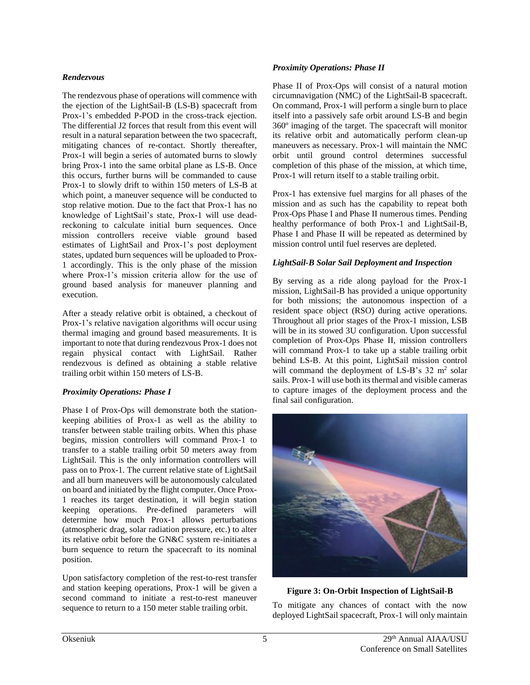#### *Rendezvous*

The rendezvous phase of operations will commence with the ejection of the LightSail-B (LS-B) spacecraft from Prox-1's embedded P-POD in the cross-track ejection. The differential J2 forces that result from this event will result in a natural separation between the two spacecraft, mitigating chances of re-contact. Shortly thereafter, Prox-1 will begin a series of automated burns to slowly bring Prox-1 into the same orbital plane as LS-B. Once this occurs, further burns will be commanded to cause Prox-1 to slowly drift to within 150 meters of LS-B at which point, a maneuver sequence will be conducted to stop relative motion. Due to the fact that Prox-1 has no knowledge of LightSail's state, Prox-1 will use deadreckoning to calculate initial burn sequences. Once mission controllers receive viable ground based estimates of LightSail and Prox-1's post deployment states, updated burn sequences will be uploaded to Prox-1 accordingly. This is the only phase of the mission where Prox-1's mission criteria allow for the use of ground based analysis for maneuver planning and execution.

After a steady relative orbit is obtained, a checkout of Prox-1's relative navigation algorithms will occur using thermal imaging and ground based measurements. It is important to note that during rendezvous Prox-1 does not regain physical contact with LightSail. Rather rendezvous is defined as obtaining a stable relative trailing orbit within 150 meters of LS-B.

#### *Proximity Operations: Phase I*

Phase I of Prox-Ops will demonstrate both the stationkeeping abilities of Prox-1 as well as the ability to transfer between stable trailing orbits. When this phase begins, mission controllers will command Prox-1 to transfer to a stable trailing orbit 50 meters away from LightSail. This is the only information controllers will pass on to Prox-1. The current relative state of LightSail and all burn maneuvers will be autonomously calculated on board and initiated by the flight computer. Once Prox-1 reaches its target destination, it will begin station keeping operations. Pre-defined parameters will determine how much Prox-1 allows perturbations (atmospheric drag, solar radiation pressure, etc.) to alter its relative orbit before the GN&C system re-initiates a burn sequence to return the spacecraft to its nominal position.

Upon satisfactory completion of the rest-to-rest transfer and station keeping operations, Prox-1 will be given a second command to initiate a rest-to-rest maneuver sequence to return to a 150 meter stable trailing orbit.

#### *Proximity Operations: Phase II*

Phase II of Prox-Ops will consist of a natural motion circumnavigation (NMC) of the LightSail-B spacecraft. On command, Prox-1 will perform a single burn to place itself into a passively safe orbit around LS-B and begin 360º imaging of the target. The spacecraft will monitor its relative orbit and automatically perform clean-up maneuvers as necessary. Prox-1 will maintain the NMC orbit until ground control determines successful completion of this phase of the mission, at which time, Prox-1 will return itself to a stable trailing orbit.

Prox-1 has extensive fuel margins for all phases of the mission and as such has the capability to repeat both Prox-Ops Phase I and Phase II numerous times. Pending healthy performance of both Prox-1 and LightSail-B, Phase I and Phase II will be repeated as determined by mission control until fuel reserves are depleted.

#### *LightSail-B Solar Sail Deployment and Inspection*

By serving as a ride along payload for the Prox-1 mission, LightSail-B has provided a unique opportunity for both missions; the autonomous inspection of a resident space object (RSO) during active operations. Throughout all prior stages of the Prox-1 mission, LSB will be in its stowed 3U configuration. Upon successful completion of Prox-Ops Phase II, mission controllers will command Prox-1 to take up a stable trailing orbit behind LS-B. At this point, LightSail mission control will command the deployment of  $LS-B$ 's  $32 \text{ m}^2$  solar sails. Prox-1 will use both its thermal and visible cameras to capture images of the deployment process and the final sail configuration.





To mitigate any chances of contact with the now deployed LightSail spacecraft, Prox-1 will only maintain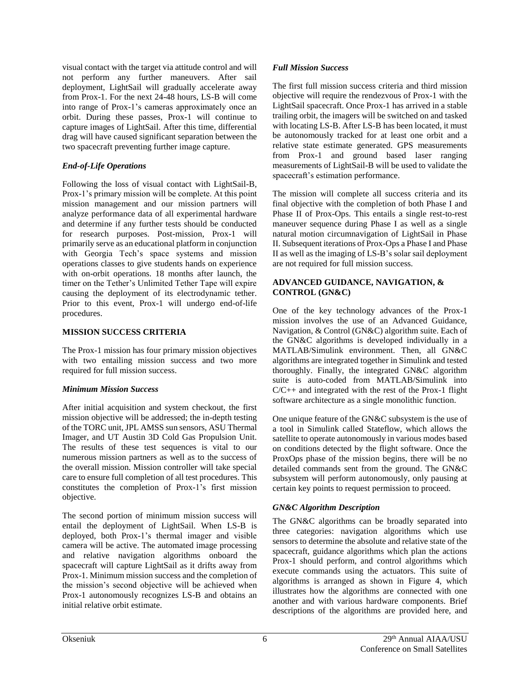visual contact with the target via attitude control and will not perform any further maneuvers. After sail deployment, LightSail will gradually accelerate away from Prox-1. For the next 24-48 hours, LS-B will come into range of Prox-1's cameras approximately once an orbit. During these passes, Prox-1 will continue to capture images of LightSail. After this time, differential drag will have caused significant separation between the two spacecraft preventing further image capture.

#### *End-of-Life Operations*

Following the loss of visual contact with LightSail-B, Prox-1's primary mission will be complete. At this point mission management and our mission partners will analyze performance data of all experimental hardware and determine if any further tests should be conducted for research purposes. Post-mission, Prox-1 will primarily serve as an educational platform in conjunction with Georgia Tech's space systems and mission operations classes to give students hands on experience with on-orbit operations. 18 months after launch, the timer on the Tether's Unlimited Tether Tape will expire causing the deployment of its electrodynamic tether. Prior to this event, Prox-1 will undergo end-of-life procedures.

#### **MISSION SUCCESS CRITERIA**

The Prox-1 mission has four primary mission objectives with two entailing mission success and two more required for full mission success.

#### *Minimum Mission Success*

After initial acquisition and system checkout, the first mission objective will be addressed; the in-depth testing of the TORC unit, JPL AMSS sun sensors, ASU Thermal Imager, and UT Austin 3D Cold Gas Propulsion Unit. The results of these test sequences is vital to our numerous mission partners as well as to the success of the overall mission. Mission controller will take special care to ensure full completion of all test procedures. This constitutes the completion of Prox-1's first mission objective.

The second portion of minimum mission success will entail the deployment of LightSail. When LS-B is deployed, both Prox-1's thermal imager and visible camera will be active. The automated image processing and relative navigation algorithms onboard the spacecraft will capture LightSail as it drifts away from Prox-1. Minimum mission success and the completion of the mission's second objective will be achieved when Prox-1 autonomously recognizes LS-B and obtains an initial relative orbit estimate.

#### *Full Mission Success*

The first full mission success criteria and third mission objective will require the rendezvous of Prox-1 with the LightSail spacecraft. Once Prox-1 has arrived in a stable trailing orbit, the imagers will be switched on and tasked with locating LS-B. After LS-B has been located, it must be autonomously tracked for at least one orbit and a relative state estimate generated. GPS measurements from Prox-1 and ground based laser ranging measurements of LightSail-B will be used to validate the spacecraft's estimation performance.

The mission will complete all success criteria and its final objective with the completion of both Phase I and Phase II of Prox-Ops. This entails a single rest-to-rest maneuver sequence during Phase I as well as a single natural motion circumnavigation of LightSail in Phase II. Subsequent iterations of Prox-Ops a Phase I and Phase II as well as the imaging of LS-B's solar sail deployment are not required for full mission success.

#### **ADVANCED GUIDANCE, NAVIGATION, & CONTROL (GN&C)**

One of the key technology advances of the Prox-1 mission involves the use of an Advanced Guidance, Navigation, & Control (GN&C) algorithm suite. Each of the GN&C algorithms is developed individually in a MATLAB/Simulink environment. Then, all GN&C algorithms are integrated together in Simulink and tested thoroughly. Finally, the integrated GN&C algorithm suite is auto-coded from MATLAB/Simulink into  $C/C++$  and integrated with the rest of the Prox-1 flight software architecture as a single monolithic function.

One unique feature of the GN&C subsystem is the use of a tool in Simulink called Stateflow, which allows the satellite to operate autonomously in various modes based on conditions detected by the flight software. Once the ProxOps phase of the mission begins, there will be no detailed commands sent from the ground. The GN&C subsystem will perform autonomously, only pausing at certain key points to request permission to proceed.

#### *GN&C Algorithm Description*

The GN&C algorithms can be broadly separated into three categories: navigation algorithms which use sensors to determine the absolute and relative state of the spacecraft, guidance algorithms which plan the actions Prox-1 should perform, and control algorithms which execute commands using the actuators. This suite of algorithms is arranged as shown in Figure 4, which illustrates how the algorithms are connected with one another and with various hardware components. Brief descriptions of the algorithms are provided here, and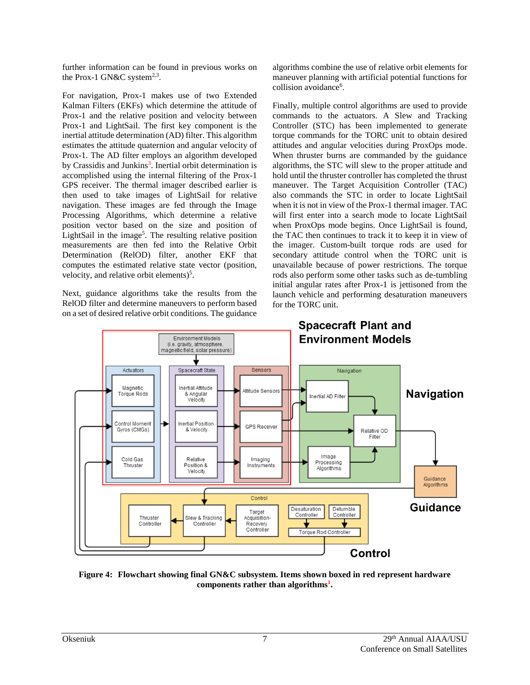further information can be found in previous works on the Prox-1 GN&C system<sup>2,3</sup>.

For navigation, Prox-1 makes use of two Extended Kalman Filters (EKFs) which determine the attitude of Prox-1 and the relative position and velocity between Prox-1 and LightSail. The first key component is the inertial attitude determination (AD) filter. This algorithm estimates the attitude quaternion and angular velocity of Prox-1. The AD filter employs an algorithm developed by Crassidis and Junkins<sup>3</sup>. Inertial orbit determination is accomplished using the internal filtering of the Prox-1 GPS receiver. The thermal imager described earlier is then used to take images of LightSail for relative navigation. These images are fed through the Image Processing Algorithms, which determine a relative position vector based on the size and position of LightSail in the image<sup>5</sup>. The resulting relative position measurements are then fed into the Relative Orbit Determination (RelOD) filter, another EKF that computes the estimated relative state vector (position, velocity, and relative orbit elements)<sup>5</sup>.

Next, guidance algorithms take the results from the RelOD filter and determine maneuvers to perform based on a set of desired relative orbit conditions. The guidance algorithms combine the use of relative orbit elements for maneuver planning with artificial potential functions for collision avoidance<sup>6</sup>.

Finally, multiple control algorithms are used to provide commands to the actuators. A Slew and Tracking Controller (STC) has been implemented to generate torque commands for the TORC unit to obtain desired attitudes and angular velocities during ProxOps mode. When thruster burns are commanded by the guidance algorithms, the STC will slew to the proper attitude and hold until the thruster controller has completed the thrust maneuver. The Target Acquisition Controller (TAC) also commands the STC in order to locate LightSail when it is not in view of the Prox-1 thermal imager. TAC will first enter into a search mode to locate LightSail when ProxOps mode begins. Once LightSail is found, the TAC then continues to track it to keep it in view of the imager. Custom-built torque rods are used for secondary attitude control when the TORC unit is unavailable because of power restrictions. The torque rods also perform some other tasks such as de-tumbling initial angular rates after Prox-1 is jettisoned from the launch vehicle and performing desaturation maneuvers for the TORC unit.



**Figure 4: Flowchart showing final GN&C subsystem. Items shown boxed in red represent hardware components rather than algorithms<sup>1</sup> .**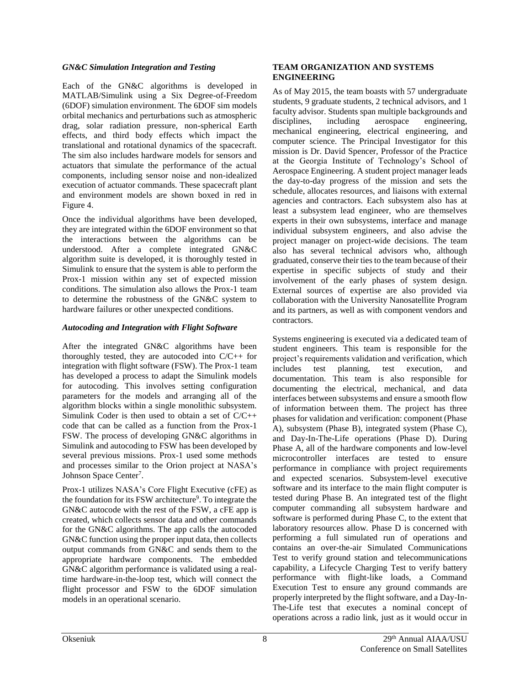#### *GN&C Simulation Integration and Testing*

Each of the GN&C algorithms is developed in MATLAB/Simulink using a Six Degree-of-Freedom (6DOF) simulation environment. The 6DOF sim models orbital mechanics and perturbations such as atmospheric drag, solar radiation pressure, non-spherical Earth effects, and third body effects which impact the translational and rotational dynamics of the spacecraft. The sim also includes hardware models for sensors and actuators that simulate the performance of the actual components, including sensor noise and non-idealized execution of actuator commands. These spacecraft plant and environment models are shown boxed in red in Figure 4.

Once the individual algorithms have been developed, they are integrated within the 6DOF environment so that the interactions between the algorithms can be understood. After a complete integrated GN&C algorithm suite is developed, it is thoroughly tested in Simulink to ensure that the system is able to perform the Prox-1 mission within any set of expected mission conditions. The simulation also allows the Prox-1 team to determine the robustness of the GN&C system to hardware failures or other unexpected conditions.

#### *Autocoding and Integration with Flight Software*

After the integrated GN&C algorithms have been thoroughly tested, they are autocoded into C/C++ for integration with flight software (FSW). The Prox-1 team has developed a process to adapt the Simulink models for autocoding. This involves setting configuration parameters for the models and arranging all of the algorithm blocks within a single monolithic subsystem. Simulink Coder is then used to obtain a set of  $C/C++$ code that can be called as a function from the Prox-1 FSW. The process of developing GN&C algorithms in Simulink and autocoding to FSW has been developed by several previous missions. Prox-1 used some methods and processes similar to the Orion project at NASA's Johnson Space Center<sup>7</sup>.

Prox-1 utilizes NASA's Core Flight Executive (cFE) as the foundation for its FSW architecture<sup>9</sup>. To integrate the GN&C autocode with the rest of the FSW, a cFE app is created, which collects sensor data and other commands for the GN&C algorithms. The app calls the autocoded GN&C function using the proper input data, then collects output commands from GN&C and sends them to the appropriate hardware components. The embedded GN&C algorithm performance is validated using a realtime hardware-in-the-loop test, which will connect the flight processor and FSW to the 6DOF simulation models in an operational scenario.

#### **TEAM ORGANIZATION AND SYSTEMS ENGINEERING**

As of May 2015, the team boasts with 57 undergraduate students, 9 graduate students, 2 technical advisors, and 1 faculty advisor. Students span multiple backgrounds and disciplines, including aerospace engineering, mechanical engineering, electrical engineering, and computer science. The Principal Investigator for this mission is Dr. David Spencer, Professor of the Practice at the Georgia Institute of Technology's School of Aerospace Engineering. A student project manager leads the day-to-day progress of the mission and sets the schedule, allocates resources, and liaisons with external agencies and contractors. Each subsystem also has at least a subsystem lead engineer, who are themselves experts in their own subsystems, interface and manage individual subsystem engineers, and also advise the project manager on project-wide decisions. The team also has several technical advisors who, although graduated, conserve their ties to the team because of their expertise in specific subjects of study and their involvement of the early phases of system design. External sources of expertise are also provided via collaboration with the University Nanosatellite Program and its partners, as well as with component vendors and contractors.

Systems engineering is executed via a dedicated team of student engineers. This team is responsible for the project's requirements validation and verification, which includes test planning, test execution, and documentation. This team is also responsible for documenting the electrical, mechanical, and data interfaces between subsystems and ensure a smooth flow of information between them. The project has three phases for validation and verification: component (Phase A), subsystem (Phase B), integrated system (Phase C), and Day-In-The-Life operations (Phase D). During Phase A, all of the hardware components and low-level microcontroller interfaces are tested to ensure performance in compliance with project requirements and expected scenarios. Subsystem-level executive software and its interface to the main flight computer is tested during Phase B. An integrated test of the flight computer commanding all subsystem hardware and software is performed during Phase C, to the extent that laboratory resources allow. Phase D is concerned with performing a full simulated run of operations and contains an over-the-air Simulated Communications Test to verify ground station and telecommunications capability, a Lifecycle Charging Test to verify battery performance with flight-like loads, a Command Execution Test to ensure any ground commands are properly interpreted by the flight software, and a Day-In-The-Life test that executes a nominal concept of operations across a radio link, just as it would occur in